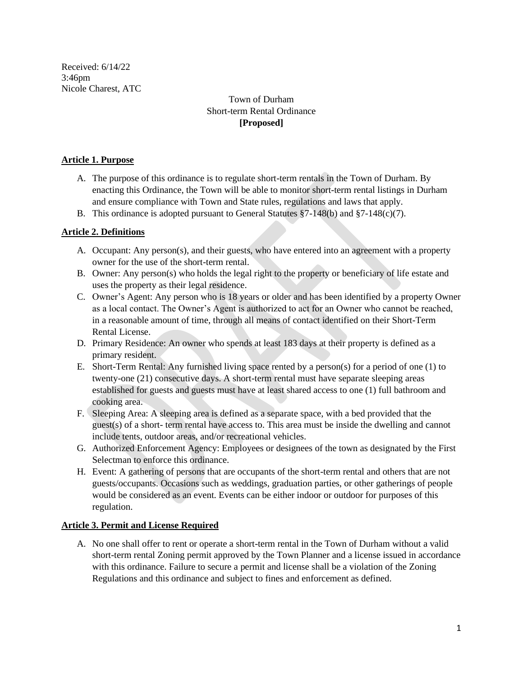Received: 6/14/22 3:46pm Nicole Charest, ATC

# Town of Durham Short-term Rental Ordinance **[Proposed]**

#### **Article 1. Purpose**

- A. The purpose of this ordinance is to regulate short-term rentals in the Town of Durham. By enacting this Ordinance, the Town will be able to monitor short-term rental listings in Durham and ensure compliance with Town and State rules, regulations and laws that apply.
- B. This ordinance is adopted pursuant to General Statutes  $\S7-148(b)$  and  $\S7-148(c)(7)$ .

### **Article 2. Definitions**

- A. Occupant: Any person(s), and their guests, who have entered into an agreement with a property owner for the use of the short-term rental.
- B. Owner: Any person(s) who holds the legal right to the property or beneficiary of life estate and uses the property as their legal residence.
- C. Owner's Agent: Any person who is 18 years or older and has been identified by a property Owner as a local contact. The Owner's Agent is authorized to act for an Owner who cannot be reached, in a reasonable amount of time, through all means of contact identified on their Short-Term Rental License.
- D. Primary Residence: An owner who spends at least 183 days at their property is defined as a primary resident.
- E. Short-Term Rental: Any furnished living space rented by a person(s) for a period of one (1) to twenty-one (21) consecutive days. A short-term rental must have separate sleeping areas established for guests and guests must have at least shared access to one (1) full bathroom and cooking area.
- F. Sleeping Area: A sleeping area is defined as a separate space, with a bed provided that the guest(s) of a short- term rental have access to. This area must be inside the dwelling and cannot include tents, outdoor areas, and/or recreational vehicles.
- G. Authorized Enforcement Agency: Employees or designees of the town as designated by the First Selectman to enforce this ordinance.
- H. Event: A gathering of persons that are occupants of the short-term rental and others that are not guests/occupants. Occasions such as weddings, graduation parties, or other gatherings of people would be considered as an event. Events can be either indoor or outdoor for purposes of this regulation.

#### **Article 3. Permit and License Required**

A. No one shall offer to rent or operate a short-term rental in the Town of Durham without a valid short-term rental Zoning permit approved by the Town Planner and a license issued in accordance with this ordinance. Failure to secure a permit and license shall be a violation of the Zoning Regulations and this ordinance and subject to fines and enforcement as defined.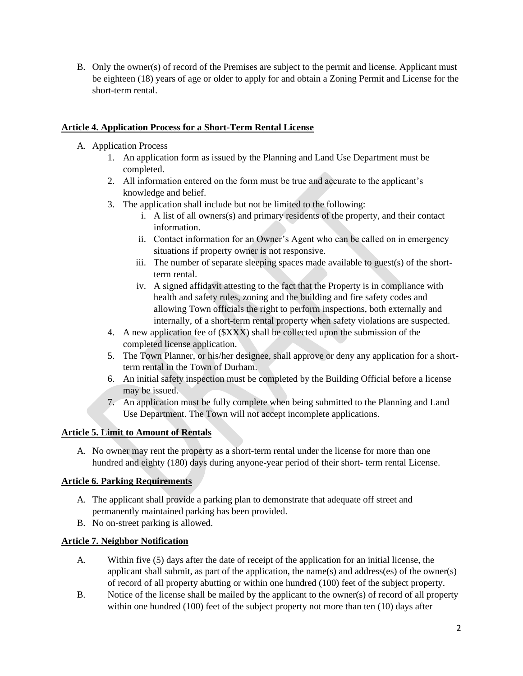B. Only the owner(s) of record of the Premises are subject to the permit and license. Applicant must be eighteen (18) years of age or older to apply for and obtain a Zoning Permit and License for the short-term rental.

### **Article 4. Application Process for a Short-Term Rental License**

- A. Application Process
	- 1. An application form as issued by the Planning and Land Use Department must be completed.
	- 2. All information entered on the form must be true and accurate to the applicant's knowledge and belief.
	- 3. The application shall include but not be limited to the following:
		- i. A list of all owners(s) and primary residents of the property, and their contact information.
		- ii. Contact information for an Owner's Agent who can be called on in emergency situations if property owner is not responsive.
		- iii. The number of separate sleeping spaces made available to guest(s) of the shortterm rental.
		- iv. A signed affidavit attesting to the fact that the Property is in compliance with health and safety rules, zoning and the building and fire safety codes and allowing Town officials the right to perform inspections, both externally and internally, of a short-term rental property when safety violations are suspected.
	- 4. A new application fee of (\$XXX) shall be collected upon the submission of the completed license application.
	- 5. The Town Planner, or his/her designee, shall approve or deny any application for a shortterm rental in the Town of Durham.
	- 6. An initial safety inspection must be completed by the Building Official before a license may be issued.
	- 7. An application must be fully complete when being submitted to the Planning and Land Use Department. The Town will not accept incomplete applications.

# **Article 5. Limit to Amount of Rentals**

A. No owner may rent the property as a short-term rental under the license for more than one hundred and eighty (180) days during anyone-year period of their short- term rental License.

### **Article 6. Parking Requirements**

- A. The applicant shall provide a parking plan to demonstrate that adequate off street and permanently maintained parking has been provided.
- B. No on-street parking is allowed.

# **Article 7. Neighbor Notification**

- A. Within five (5) days after the date of receipt of the application for an initial license, the applicant shall submit, as part of the application, the name(s) and address(es) of the owner(s) of record of all property abutting or within one hundred (100) feet of the subject property.
- B. Notice of the license shall be mailed by the applicant to the owner(s) of record of all property within one hundred (100) feet of the subject property not more than ten (10) days after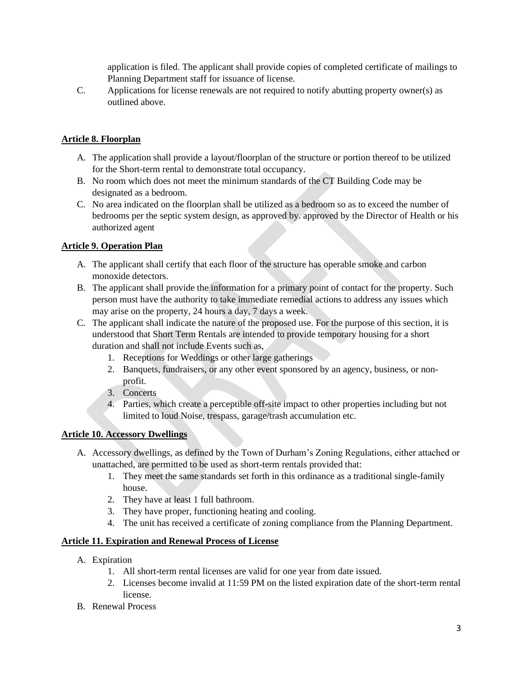application is filed. The applicant shall provide copies of completed certificate of mailings to Planning Department staff for issuance of license.

C. Applications for license renewals are not required to notify abutting property owner(s) as outlined above.

## **Article 8. Floorplan**

- A. The application shall provide a layout/floorplan of the structure or portion thereof to be utilized for the Short-term rental to demonstrate total occupancy.
- B. No room which does not meet the minimum standards of the CT Building Code may be designated as a bedroom.
- C. No area indicated on the floorplan shall be utilized as a bedroom so as to exceed the number of bedrooms per the septic system design, as approved by. approved by the Director of Health or his authorized agent

### **Article 9. Operation Plan**

- A. The applicant shall certify that each floor of the structure has operable smoke and carbon monoxide detectors.
- B. The applicant shall provide the information for a primary point of contact for the property. Such person must have the authority to take immediate remedial actions to address any issues which may arise on the property, 24 hours a day, 7 days a week.
- C. The applicant shall indicate the nature of the proposed use. For the purpose of this section, it is understood that Short Term Rentals are intended to provide temporary housing for a short duration and shall not include Events such as,
	- 1. Receptions for Weddings or other large gatherings
	- 2. Banquets, fundraisers, or any other event sponsored by an agency, business, or nonprofit.
	- 3. Concerts
	- 4. Parties, which create a perceptible off-site impact to other properties including but not limited to loud Noise, trespass, garage/trash accumulation etc.

### **Article 10. Accessory Dwellings**

- A. Accessory dwellings, as defined by the Town of Durham's Zoning Regulations, either attached or unattached, are permitted to be used as short-term rentals provided that:
	- 1. They meet the same standards set forth in this ordinance as a traditional single-family house.
	- 2. They have at least 1 full bathroom.
	- 3. They have proper, functioning heating and cooling.
	- 4. The unit has received a certificate of zoning compliance from the Planning Department.

### **Article 11. Expiration and Renewal Process of License**

- A. Expiration
	- 1. All short-term rental licenses are valid for one year from date issued.
	- 2. Licenses become invalid at 11:59 PM on the listed expiration date of the short-term rental license.
- B. Renewal Process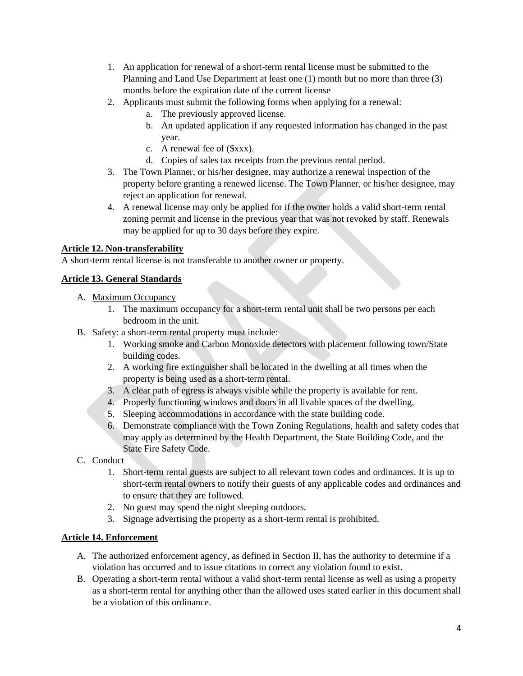- 1. An application for renewal of a short-term rental license must be submitted to the Planning and Land Use Department at least one (1) month but no more than three (3) months before the expiration date of the current license
- 2. Applicants must submit the following forms when applying for a renewal:
	- a. The previously approved license.
	- b. An updated application if any requested information has changed in the past year.
	- c. A renewal fee of (\$xxx).
	- d. Copies of sales tax receipts from the previous rental period.
- 3. The Town Planner, or his/her designee, may authorize a renewal inspection of the property before granting a renewed license. The Town Planner, or his/her designee, may reject an application for renewal.
- 4. A renewal license may only be applied for if the owner holds a valid short-term rental zoning permit and license in the previous year that was not revoked by staff. Renewals may be applied for up to 30 days before they expire.

## **Article 12. Non-transferability**

A short-term rental license is not transferable to another owner or property.

## **Article 13. General Standards**

- A. Maximum Occupancy
	- 1. The maximum occupancy for a short-term rental unit shall be two persons per each bedroom in the unit.
- B. Safety: a short-term rental property must include:
	- 1. Working smoke and Carbon Monoxide detectors with placement following town/State building codes.
	- 2. A working fire extinguisher shall be located in the dwelling at all times when the property is being used as a short-term rental.
	- 3. A clear path of egress is always visible while the property is available for rent.
	- 4. Properly functioning windows and doors in all livable spaces of the dwelling.
	- 5. Sleeping accommodations in accordance with the state building code.
	- 6. Demonstrate compliance with the Town Zoning Regulations, health and safety codes that may apply as determined by the Health Department, the State Building Code, and the State Fire Safety Code.
- C. Conduct
	- 1. Short-term rental guests are subject to all relevant town codes and ordinances. It is up to short-term rental owners to notify their guests of any applicable codes and ordinances and to ensure that they are followed.
	- 2. No guest may spend the night sleeping outdoors.
	- 3. Signage advertising the property as a short-term rental is prohibited.

### **Article 14. Enforcement**

- A. The authorized enforcement agency, as defined in Section II, has the authority to determine if a violation has occurred and to issue citations to correct any violation found to exist.
- B. Operating a short-term rental without a valid short-term rental license as well as using a property as a short-term rental for anything other than the allowed uses stated earlier in this document shall be a violation of this ordinance.